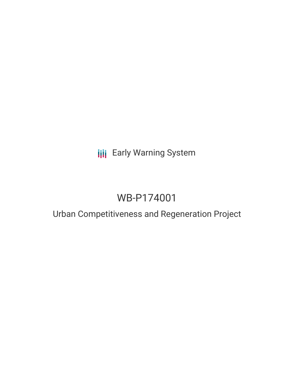# **III** Early Warning System

# WB-P174001

## Urban Competitiveness and Regeneration Project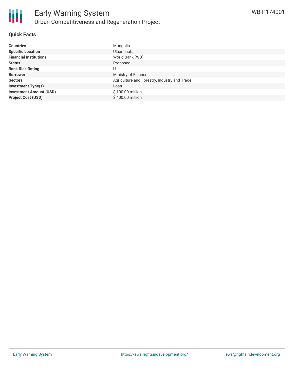

### **Quick Facts**

| <b>Countries</b>               | Mongolia                                     |
|--------------------------------|----------------------------------------------|
| <b>Specific Location</b>       | Ulaanbaatar                                  |
| <b>Financial Institutions</b>  | World Bank (WB)                              |
| <b>Status</b>                  | Proposed                                     |
| <b>Bank Risk Rating</b>        | U                                            |
| <b>Borrower</b>                | Ministry of Finance                          |
| <b>Sectors</b>                 | Agriculture and Forestry, Industry and Trade |
| <b>Investment Type(s)</b>      | Loan                                         |
| <b>Investment Amount (USD)</b> | \$100.00 million                             |
| <b>Project Cost (USD)</b>      | $$400.00$ million                            |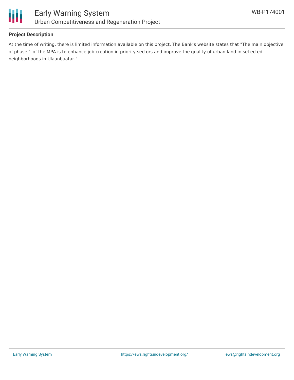

### **Project Description**

At the time of writing, there is limited information available on this project. The Bank's website states that "The main objective of phase 1 of the MPA is to enhance job creation in priority sectors and improve the quality of urban land in sel ected neighborhoods in Ulaanbaatar."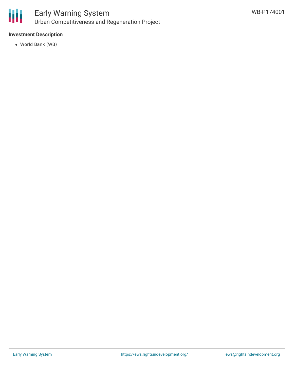

### Early Warning System Urban Competitiveness and Regeneration Project

### **Investment Description**

World Bank (WB)